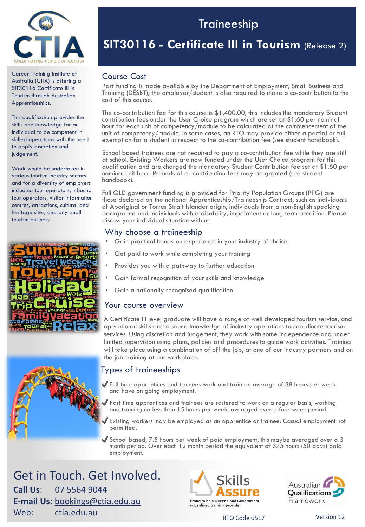

Career Training Institute of Australia (CTIA) is offering a SIT30116 Certificate III in Tourism through Australian Apprenticeships.

This qualification provides the skills and knowledge for an individual to be competent in skilled operations with the need to apply discretion and judgement.

Work would be undertaken in various tourism industry sectors and for a diversity of employers including tour operators, inbound tour operators, visitor information centres, attractions, cultural and heritage sites, and any small tourism business.



# Traineeship

# **SIT30116 - Certificate III in Tourism** (Release 2)

## Course Cost

Part funding is made available by the Department of Employment, Small Business and Training (DESBT), the employer/student is also required to make a co-contribution to the cost of this course.

The co-contribution fee for this course is \$1,400.00, this includes the mandatory Student contribution fees under the User Choice program which are set at \$1.60 per nominal hour for each unit of competency/module to be calculated at the commencement of the unit of competency/module. In some cases, an RTO may provide either a partial or full exemption for a student in respect to the co-contribution fee (see student handbook).

School based trainees are not required to pay a co-contribution fee while they are still at school. Existing Workers are now funded under the User Choice program for this qualification and are charged the mandatory Student Contribution fee set at \$1.60 per nominal unit hour. Refunds of co-contribution fees may be granted (see student handbook).

Full QLD government funding is provided for Priority Population Groups (PPG) are those declared on the national Apprenticeship/Traineeship Contract, such as individuals of Aboriginal or Torres Strait Islander origin, individuals from a non-English speaking background and individuals with a disability, impairment or long term condition. Please discuss your individual situation with us.

## Why choose a traineeship

- Gain practical hands-on experience in your industry of choice
- Get paid to work while completing your training
- Provides you with a pathway to further education
- Gain formal recognition of your skills and knowledge
- Gain a nationally recognised qualification

### Your course overview

A Certificate III level graduate will have a range of well developed tourism service, and operational skills and a sound knowledge of industry operations to coordinate tourism services. Using discretion and judgement, they work with some independence and under limited supervision using plans, policies and procedures to guide work activities. Training will take place using a combination of off the job, at one of our industry partners and on the job training at our workplace.

## Types of traineeships

- ✔Full-time apprentices and trainees work and train an average of 38 hours per week and have on going employment.
	- ✔Part time apprentices and trainees are rostered to work on a regular basis, working and training no less than 15 hours per week, averaged over a four-week period.
	- Existing workers may be employed as an apprentice or trainee. Casual employment not permitted.
- $\blacktriangledown$  School based, 7.5 hours per week of paid employment, this maybe averaged over a 3 month period. Over each 12 month period the equivalent of 375 hours (50 days) paid employment.

Get in Touch. Get Involved. **Call Us**: 07 5564 9044 **E-mail Us:** [bookings@ctia.edu.au](mailto:bookings@ctia.edu.au) **Meb:** ctia.edu.au RTO Code 6517 Version 12